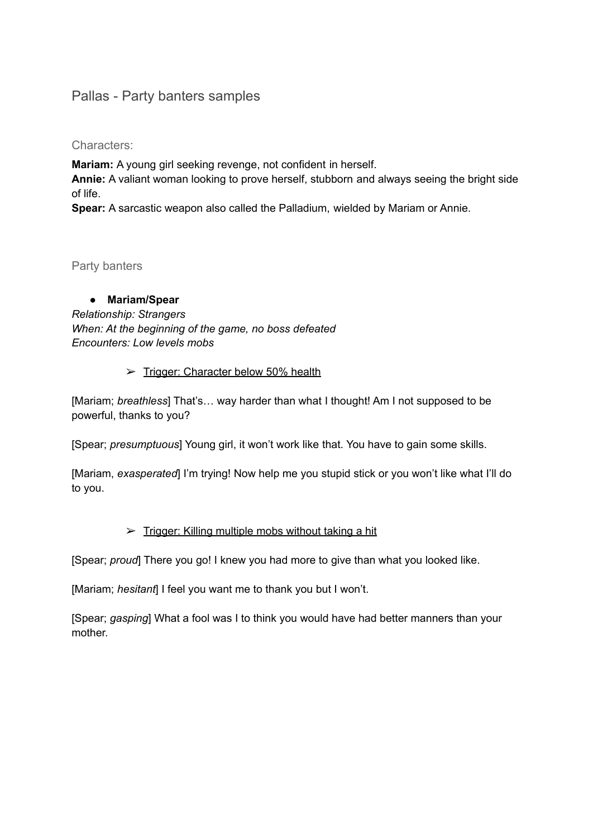## Pallas - Party banters samples

Characters:

**Mariam:** A young girl seeking revenge, not confident in herself.

**Annie:** A valiant woman looking to prove herself, stubborn and always seeing the bright side of life.

**Spear:** A sarcastic weapon also called the Palladium, wielded by Mariam or Annie.

#### Party banters

**● Mariam/Spear** *Relationship: Strangers When: At the beginning of the game, no boss defeated Encounters: Low levels mobs*

#### ➢ Trigger: Character below 50% health

[Mariam; *breathless*] That's… way harder than what I thought! Am I not supposed to be powerful, thanks to you?

[Spear; *presumptuous*] Young girl, it won't work like that. You have to gain some skills.

[Mariam, *exasperated*] I'm trying! Now help me you stupid stick or you won't like what I'll do to you.

#### ➢ Trigger: Killing multiple mobs without taking a hit

[Spear; *proud*] There you go! I knew you had more to give than what you looked like.

[Mariam; *hesitant*] I feel you want me to thank you but I won't.

[Spear; *gasping*] What a fool was I to think you would have had better manners than your mother.